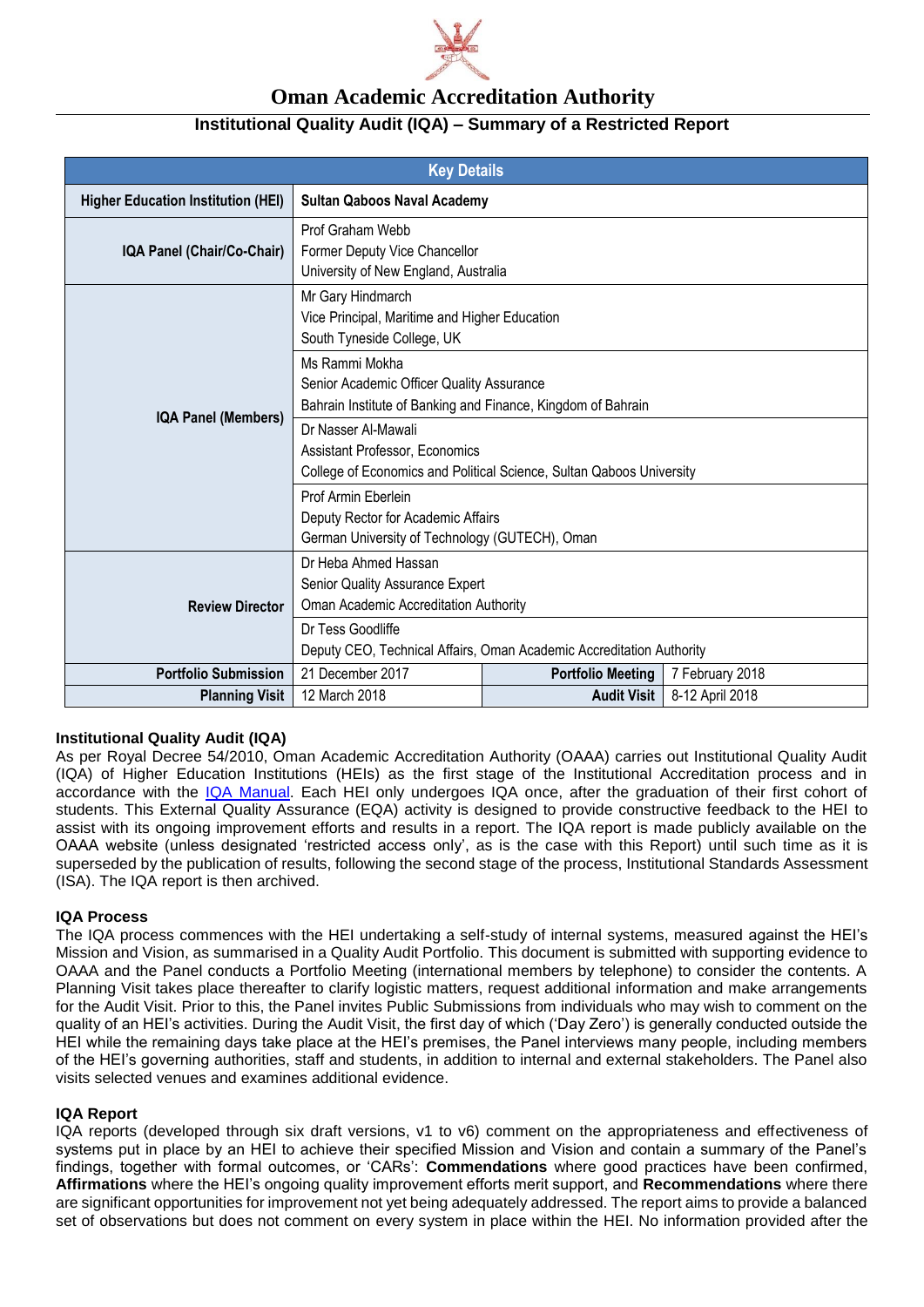

# **Oman Academic Accreditation Authority**

## **Institutional Quality Audit (IQA) – Summary of a Restricted Report**

| <b>Key Details</b>                        |                                                                                                                               |                          |                 |
|-------------------------------------------|-------------------------------------------------------------------------------------------------------------------------------|--------------------------|-----------------|
| <b>Higher Education Institution (HEI)</b> | <b>Sultan Qaboos Naval Academy</b>                                                                                            |                          |                 |
| IQA Panel (Chair/Co-Chair)                | Prof Graham Webb<br>Former Deputy Vice Chancellor<br>University of New England, Australia                                     |                          |                 |
| IQA Panel (Members)                       | Mr Gary Hindmarch<br>Vice Principal, Maritime and Higher Education<br>South Tyneside College, UK                              |                          |                 |
|                                           | Ms Rammi Mokha<br>Senior Academic Officer Quality Assurance<br>Bahrain Institute of Banking and Finance, Kingdom of Bahrain   |                          |                 |
|                                           | Dr Nasser Al-Mawali<br>Assistant Professor, Economics<br>College of Economics and Political Science, Sultan Qaboos University |                          |                 |
|                                           | Prof Armin Eberlein<br>Deputy Rector for Academic Affairs<br>German University of Technology (GUTECH), Oman                   |                          |                 |
| <b>Review Director</b>                    | Dr Heba Ahmed Hassan<br>Senior Quality Assurance Expert<br>Oman Academic Accreditation Authority<br>Dr Tess Goodliffe         |                          |                 |
|                                           | Deputy CEO, Technical Affairs, Oman Academic Accreditation Authority                                                          |                          |                 |
| <b>Portfolio Submission</b>               | 21 December 2017                                                                                                              | <b>Portfolio Meeting</b> | 7 February 2018 |
| <b>Planning Visit</b>                     | 12 March 2018                                                                                                                 | <b>Audit Visit</b>       | 8-12 April 2018 |

### **Institutional Quality Audit (IQA)**

As per Royal Decree 54/2010, Oman Academic Accreditation Authority (OAAA) carries out Institutional Quality Audit (IQA) of Higher Education Institutions (HEIs) as the first stage of the Institutional Accreditation process and in accordance with the [IQA Manual.](http://www.oaaa.gov.om/QAM_2008_FINAL2.pdf) Each HEI only undergoes IQA once, after the graduation of their first cohort of students. This External Quality Assurance (EQA) activity is designed to provide constructive feedback to the HEI to assist with its ongoing improvement efforts and results in a report. The IQA report is made publicly available on the OAAA website (unless designated 'restricted access only', as is the case with this Report) until such time as it is superseded by the publication of results, following the second stage of the process, Institutional Standards Assessment (ISA). The IQA report is then archived.

### **IQA Process**

The IQA process commences with the HEI undertaking a self-study of internal systems, measured against the HEI's Mission and Vision, as summarised in a Quality Audit Portfolio. This document is submitted with supporting evidence to OAAA and the Panel conducts a Portfolio Meeting (international members by telephone) to consider the contents. A Planning Visit takes place thereafter to clarify logistic matters, request additional information and make arrangements for the Audit Visit. Prior to this, the Panel invites Public Submissions from individuals who may wish to comment on the quality of an HEI's activities. During the Audit Visit, the first day of which ('Day Zero') is generally conducted outside the HEI while the remaining days take place at the HEI's premises, the Panel interviews many people, including members of the HEI's governing authorities, staff and students, in addition to internal and external stakeholders. The Panel also visits selected venues and examines additional evidence.

### **IQA Report**

IQA reports (developed through six draft versions, v1 to v6) comment on the appropriateness and effectiveness of systems put in place by an HEI to achieve their specified Mission and Vision and contain a summary of the Panel's findings, together with formal outcomes, or 'CARs': **Commendations** where good practices have been confirmed, **Affirmations** where the HEI's ongoing quality improvement efforts merit support, and **Recommendations** where there are significant opportunities for improvement not yet being adequately addressed. The report aims to provide a balanced set of observations but does not comment on every system in place within the HEI. No information provided after the